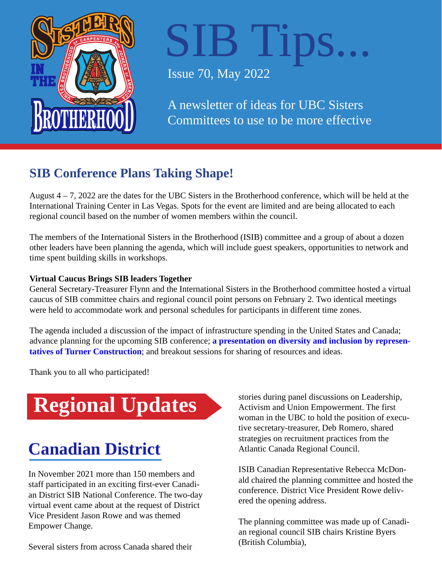

# IB Tips...

Issue 70, May 2022

A newsletter of ideas for UBC Sisters Committees to use to be more effective

## **SIB Conference Plans Taking Shape!**

August 4 – 7, 2022 are the dates for the UBC Sisters in the Brotherhood conference, which will be held at the International Training Center in Las Vegas. Spots for the event are limited and are being allocated to each regional council based on the number of women members within the council.

The members of the International Sisters in the Brotherhood (ISIB) committee and a group of about a dozen other leaders have been planning the agenda, which will include guest speakers, opportunities to network and time spent building skills in workshops.

#### **Virtual Caucus Brings SIB leaders Together**

General Secretary-Treasurer Flynn and the International Sisters in the Brotherhood committee hosted a virtual caucus of SIB committee chairs and regional council point persons on February 2. Two identical meetings were held to accommodate work and personal schedules for participants in different time zones.

The agenda included a discussion of the impact of infrastructure spending in the United States and Canada; advance planning for the upcoming SIB conference; **a presentation on diversity and inclusion by representatives of Turner Construction**[; and breakout sessions for sharing of resources and ideas.](https://www.youtube.com/watch?v=Uzo7TFsJZ8w)

Thank you to all who participated!

# **Regional Updates**

## **Canadian District**

In November 2021 more than 150 members and staff participated in an exciting first-ever Canadian District SIB National Conference. The two-day virtual event came about at the request of District Vice President Jason Rowe and was themed Empower Change.

Several sisters from across Canada shared their

stories during panel discussions on Leadership, Activism and Union Empowerment. The first woman in the UBC to hold the position of executive secretary-treasurer, Deb Romero, shared strategies on recruitment practices from the Atlantic Canada Regional Council.

ISIB Canadian Representative Rebecca McDonald chaired the planning committee and hosted the conference. District Vice President Rowe delivered the opening address.

The planning committee was made up of Canadian regional council SIB chairs Kristine Byers (British Columbia),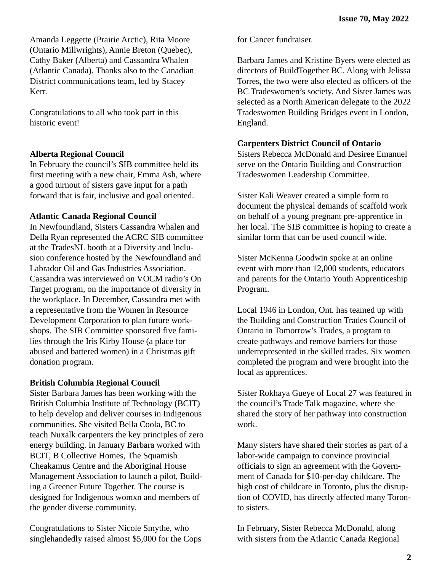Amanda Leggette (Prairie Arctic), Rita Moore (Ontario Millwrights), Annie Breton (Quebec), Cathy Baker (Alberta) and Cassandra Whalen (Atlantic Canada). Thanks also to the Canadian District communications team, led by Stacey Kerr.

Congratulations to all who took part in this historic event!

#### **Alberta Regional Council**

In February the council's SIB committee held its first meeting with a new chair, Emma Ash, where a good turnout of sisters gave input for a path forward that is fair, inclusive and goal oriented.

#### **Atlantic Canada Regional Council**

In Newfoundland, Sisters Cassandra Whalen and Della Ryan represented the ACRC SIB committee at the TradesNL booth at a Diversity and Inclusion conference hosted by the Newfoundland and Labrador Oil and Gas Industries Association. Cassandra was interviewed on VOCM radio's On Target program, on the importance of diversity in the workplace. In December, Cassandra met with a representative from the Women in Resource Development Corporation to plan future workshops. The SIB Committee sponsored five families through the Iris Kirby House (a place for abused and battered women) in a Christmas gift donation program.

#### **British Columbia Regional Council**

Sister Barbara James has been working with the British Columbia Institute of Technology (BCIT) to help develop and deliver courses in Indigenous communities. She visited Bella Coola, BC to teach Nuxalk carpenters the key principles of zero energy building. In January Barbara worked with BCIT, B Collective Homes, The Squamish Cheakamus Centre and the Aboriginal House Management Association to launch a pilot, Building a Greener Future Together. The course is designed for Indigenous womxn and members of the gender diverse community.

Congratulations to Sister Nicole Smythe, who singlehandedly raised almost \$5,000 for the Cops for Cancer fundraiser.

Barbara James and Kristine Byers were elected as directors of BuildTogether BC. Along with Jelissa Torres, the two were also elected as officers of the BC Tradeswomen's society. And Sister James was selected as a North American delegate to the 2022 Tradeswomen Building Bridges event in London, England.

#### **Carpenters District Council of Ontario**

Sisters Rebecca McDonald and Desiree Emanuel serve on the Ontario Building and Construction Tradeswomen Leadership Committee.

Sister Kali Weaver created a simple form to document the physical demands of scaffold work on behalf of a young pregnant pre-apprentice in her local. The SIB committee is hoping to create a similar form that can be used council wide.

Sister McKenna Goodwin spoke at an online event with more than 12,000 students, educators and parents for the Ontario Youth Apprenticeship Program.

Local 1946 in London, Ont. has teamed up with the Building and Construction Trades Council of Ontario in Tomorrow's Trades, a program to create pathways and remove barriers for those underrepresented in the skilled trades. Six women completed the program and were brought into the local as apprentices.

Sister Rokhaya Gueye of Local 27 was featured in the council's Trade Talk magazine, where she shared the story of her pathway into construction work.

Many sisters have shared their stories as part of a labor-wide campaign to convince provincial officials to sign an agreement with the Government of Canada for \$10-per-day childcare. The high cost of childcare in Toronto, plus the disruption of COVID, has directly affected many Toronto sisters.

In February, Sister Rebecca McDonald, along with sisters from the Atlantic Canada Regional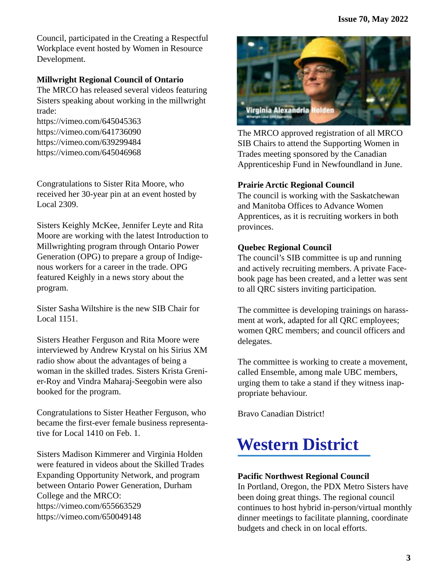Council, participated in the Creating a Respectful Workplace event hosted by Women in Resource Development.

#### **Millwright Regional Council of Ontario**

The MRCO has released several videos featuring Sisters speaking about working in the millwright trade:

https://vimeo.com/645045363 https://vimeo.com/641736090 https://vimeo.com/639299484 https://vimeo.com/645046968

Congratulations to Sister Rita Moore, who received her 30-year pin at an event hosted by Local 2309.

Sisters Keighly McKee, Jennifer Leyte and Rita Moore are working with the latest Introduction to Millwrighting program through Ontario Power Generation (OPG) to prepare a group of Indigenous workers for a career in the trade. OPG featured Keighly in a news story about the program.

Sister Sasha Wiltshire is the new SIB Chair for Local 1151.

Sisters Heather Ferguson and Rita Moore were interviewed by Andrew Krystal on his Sirius XM radio show about the advantages of being a woman in the skilled trades. Sisters Krista Grenier-Roy and Vindra Maharaj-Seegobin were also booked for the program.

Congratulations to Sister Heather Ferguson, who became the first-ever female business representative for Local 1410 on Feb. 1.

Sisters Madison Kimmerer and Virginia Holden were featured in videos about the Skilled Trades Expanding Opportunity Network, and program between Ontario Power Generation, Durham College and the MRCO: https://vimeo.com/655663529 https://vimeo.com/650049148



The MRCO approved registration of all MRCO SIB Chairs to attend the Supporting Women in Trades meeting sponsored by the Canadian Apprenticeship Fund in Newfoundland in June.

#### **Prairie Arctic Regional Council**

The council is working with the Saskatchewan and Manitoba Offices to Advance Women Apprentices, as it is recruiting workers in both provinces.

#### **Quebec Regional Council**

The council's SIB committee is up and running and actively recruiting members. A private Facebook page has been created, and a letter was sent to all QRC sisters inviting participation.

The committee is developing trainings on harassment at work, adapted for all QRC employees; women QRC members; and council officers and delegates.

The committee is working to create a movement, called Ensemble, among male UBC members, urging them to take a stand if they witness inappropriate behaviour.

Bravo Canadian District!

## **Western District**

#### **Pacific Northwest Regional Council**

In Portland, Oregon, the PDX Metro Sisters have been doing great things. The regional council continues to host hybrid in-person/virtual monthly dinner meetings to facilitate planning, coordinate budgets and check in on local efforts.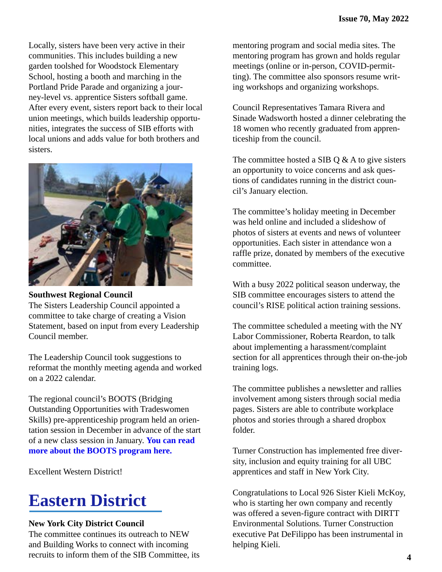Locally, sisters have been very active in their communities. This includes building a new garden toolshed for Woodstock Elementary School, hosting a booth and marching in the Portland Pride Parade and organizing a journey-level vs. apprentice Sisters softball game. After every event, sisters report back to their local union meetings, which builds leadership opportunities, integrates the success of SIB efforts with local unions and adds value for both brothers and sisters.



#### **Southwest Regional Council**

The Sisters Leadership Council appointed a committee to take charge of creating a Vision Statement, based on input from every Leadership Council member.

The Leadership Council took suggestions to reformat the monthly meeting agenda and worked on a 2022 calendar.

The regional council's BOOTS (Bridging Outstanding Opportunities with Tradeswomen Skills) pre-apprenticeship program held an orientation session in December in advance of the start of a new class session in January. **You can read [more about the BOOTS program here.](https://www.swctf.org/programs-partnerships/bridging-outstanding-opportunities-with-tradeswomen-skills/)**

Excellent Western District!

## **Eastern District**

#### **New York City District Council**

The committee continues its outreach to NEW and Building Works to connect with incoming recruits to inform them of the SIB Committee, its mentoring program and social media sites. The mentoring program has grown and holds regular meetings (online or in-person, COVID-permitting). The committee also sponsors resume writing workshops and organizing workshops.

Council Representatives Tamara Rivera and Sinade Wadsworth hosted a dinner celebrating the 18 women who recently graduated from apprenticeship from the council.

The committee hosted a SIB  $Q \& A$  to give sisters an opportunity to voice concerns and ask questions of candidates running in the district council's January election.

The committee's holiday meeting in December was held online and included a slideshow of photos of sisters at events and news of volunteer opportunities. Each sister in attendance won a raffle prize, donated by members of the executive committee.

With a busy 2022 political season underway, the SIB committee encourages sisters to attend the council's RISE political action training sessions.

The committee scheduled a meeting with the NY Labor Commissioner, Roberta Reardon, to talk about implementing a harassment/complaint section for all apprentices through their on-the-job training logs.

The committee publishes a newsletter and rallies involvement among sisters through social media pages. Sisters are able to contribute workplace photos and stories through a shared dropbox folder.

Turner Construction has implemented free diversity, inclusion and equity training for all UBC apprentices and staff in New York City.

Congratulations to Local 926 Sister Kieli McKoy, who is starting her own company and recently was offered a seven-figure contract with DIRTT Environmental Solutions. Turner Construction executive Pat DeFilippo has been instrumental in helping Kieli.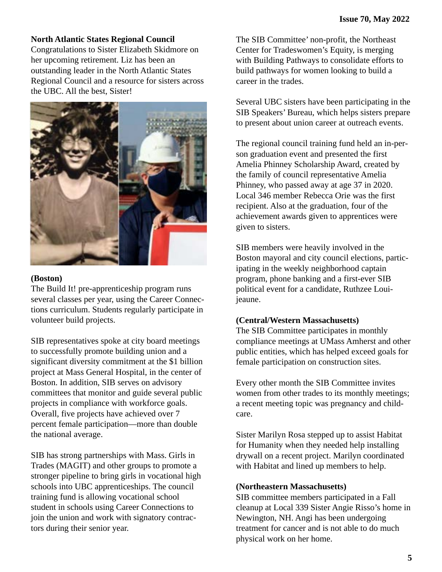#### **North Atlantic States Regional Council**

Congratulations to Sister Elizabeth Skidmore on her upcoming retirement. Liz has been an outstanding leader in the North Atlantic States Regional Council and a resource for sisters across the UBC. All the best, Sister!



#### **(Boston)**

The Build It! pre-apprenticeship program runs several classes per year, using the Career Connections curriculum. Students regularly participate in volunteer build projects.

SIB representatives spoke at city board meetings to successfully promote building union and a significant diversity commitment at the \$1 billion project at Mass General Hospital, in the center of Boston. In addition, SIB serves on advisory committees that monitor and guide several public projects in compliance with workforce goals. Overall, five projects have achieved over 7 percent female participation—more than double the national average.

SIB has strong partnerships with Mass. Girls in Trades (MAGIT) and other groups to promote a stronger pipeline to bring girls in vocational high schools into UBC apprenticeships. The council training fund is allowing vocational school student in schools using Career Connections to join the union and work with signatory contractors during their senior year.

The SIB Committee' non-profit, the Northeast Center for Tradeswomen's Equity, is merging with Building Pathways to consolidate efforts to build pathways for women looking to build a career in the trades.

Several UBC sisters have been participating in the SIB Speakers' Bureau, which helps sisters prepare to present about union career at outreach events.

The regional council training fund held an in-person graduation event and presented the first Amelia Phinney Scholarship Award, created by the family of council representative Amelia Phinney, who passed away at age 37 in 2020. Local 346 member Rebecca Orie was the first recipient. Also at the graduation, four of the achievement awards given to apprentices were given to sisters.

SIB members were heavily involved in the Boston mayoral and city council elections, participating in the weekly neighborhood captain program, phone banking and a first-ever SIB political event for a candidate, Ruthzee Louijeaune.

#### **(Central/Western Massachusetts)**

The SIB Committee participates in monthly compliance meetings at UMass Amherst and other public entities, which has helped exceed goals for female participation on construction sites.

Every other month the SIB Committee invites women from other trades to its monthly meetings; a recent meeting topic was pregnancy and childcare.

Sister Marilyn Rosa stepped up to assist Habitat for Humanity when they needed help installing drywall on a recent project. Marilyn coordinated with Habitat and lined up members to help.

#### **(Northeastern Massachusetts)**

SIB committee members participated in a Fall cleanup at Local 339 Sister Angie Risso's home in Newington, NH. Angi has been undergoing treatment for cancer and is not able to do much physical work on her home.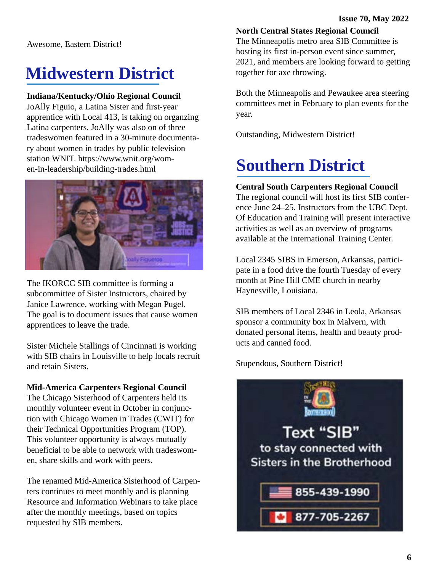Awesome, Eastern District!

## **Midwestern District**

#### **Indiana/Kentucky/Ohio Regional Council**

JoAlly Figuio, a Latina Sister and first-year apprentice with Local 413, is taking on organzing Latina carpenters. JoAlly was also on of three tradeswomen featured in a 30-minute documentary about women in trades by public television station WNIT. https://www.wnit.org/women-in-leadership/building-trades.html



The IKORCC SIB committee is forming a subcommittee of Sister Instructors, chaired by Janice Lawrence, working with Megan Pugel. The goal is to document issues that cause women apprentices to leave the trade.

Sister Michele Stallings of Cincinnati is working with SIB chairs in Louisville to help locals recruit and retain Sisters.

#### **Mid-America Carpenters Regional Council**

The Chicago Sisterhood of Carpenters held its monthly volunteer event in October in conjunction with Chicago Women in Trades (CWIT) for their Technical Opportunities Program (TOP). This volunteer opportunity is always mutually beneficial to be able to network with tradeswomen, share skills and work with peers.

The renamed Mid-America Sisterhood of Carpenters continues to meet monthly and is planning Resource and Information Webinars to take place after the monthly meetings, based on topics requested by SIB members.

**North Central States Regional Council**

The Minneapolis metro area SIB Committee is hosting its first in-person event since summer, 2021, and members are looking forward to getting together for axe throwing.

Both the Minneapolis and Pewaukee area steering committees met in February to plan events for the year.

Outstanding, Midwestern District!

## **Southern District**

#### **Central South Carpenters Regional Council**

The regional council will host its first SIB conference June 24–25. Instructors from the UBC Dept. Of Education and Training will present interactive activities as well as an overview of programs available at the International Training Center.

Local 2345 SIBS in Emerson, Arkansas, participate in a food drive the fourth Tuesday of every month at Pine Hill CME church in nearby Haynesville, Louisiana.

SIB members of Local 2346 in Leola, Arkansas sponsor a community box in Malvern, with donated personal items, health and beauty products and canned food.

Stupendous, Southern District!